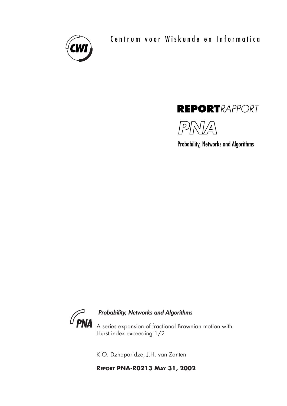

Centrum voor Wiskunde en Informatica

# **REPORTRAPPORT**



Probability, Networks and Algorithms



## Probability, Networks and Algorithms

A series expansion of fractional Brownian motion with Hurst index exceeding 1/2

K.O. Dzhaparidze, J.H. van Zanten

**REPORT PNA-R0213 MAY 31, 2002**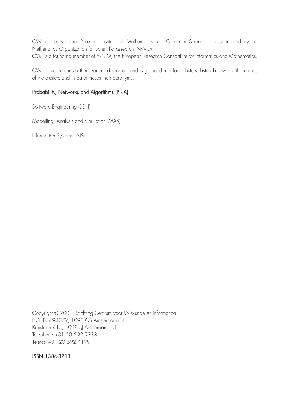CWI is the National Research Institute for Mathematics and Computer Science. It is sponsored by the Netherlands Organization for Scientific Research (NWO). CWI is a founding member of ERCIM, the European Research Consortium for Informatics and Mathematics.

CWI's research has a theme-oriented structure and is grouped into four clusters. Listed below are the names of the clusters and in parentheses their acronyms.

## Probability, Networks and Algorithms (PNA)

Software Engineering (SEN)

Modelling, Analysis and Simulation (MAS)

Information Systems (INS)

Copyright © 2001, Stichting Centrum voor Wiskunde en Informatica P.O. Box 94079, 1090 GB Amsterdam (NL) Kruislaan 413, 1098 SJ Amsterdam (NL) Telephone +31 20 592 9333 Telefax +31 20 592 4199

ISSN 1386-3711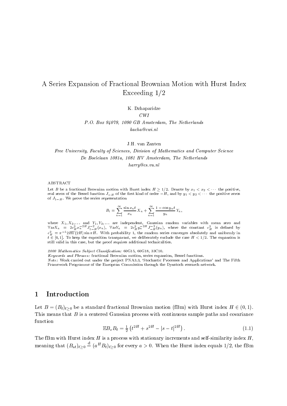## A Series Expansion of Fractional Brownian Motion with Hurst Index Exceeding  $1/2$

K. Dzhaparidze  $CWI$ P.O. Box 94079, 1090 GB Amsterdam, The Netherlands  $kacha@cwi.nl$ 

J.H. van Zanten

Free University, Faculty of Sciences, Division of Mathematics and Computer Science De Boelelaan 1081a, 1081 HV Amsterdam, The Netherlands  $harry@cs.vu.nl$ 

### **ABSTRACT**

Let B be a fractional Brownian motion with Hurst index  $H > 1/2$ . Denote by  $x_1 < x_2 < \cdots$  the positive, real zeros of the Bessel function  $J_{-H}$  of the first kind of order  $-H$ , and by  $y_1 < y_2 < \cdots$  the positive zeros of  $J_{1-H}$ . We prove the series representation

$$
B_t = \sum_{n=1}^{\infty} \frac{\sin x_n t}{x_n} X_n + \sum_{n=1}^{\infty} \frac{1 - \cos y_n t}{y_n} Y_n,
$$

where  $X_1, X_2, ...$  and  $Y_1, Y_2, ...$  are independent, Gaussian random variables with mean zero and  $\mathbb{V}$ ar $X_n = 2c_H^2 x_n^{-2H} J_{1-H}^{-2}(x_n)$ ,  $\mathbb{V}$ ar $Y_n = 2c_H^2 y_n^{-2H} J_{-H}^{-2}(y_n)$ , where the constant  $c_H^2$  is defined by  $c_H^2 = \pi^{-1} 2H\Gamma(2H) \sin \pi H$ . With probability 1, the random series converges absolutely and uniformly in  $t \in [0,1]$ . To keep the exposition transparant, we deliberately exclude the case  $H < 1/2$ . The expansion is still valid in this case, but the proof requires additional technicalities.

2000 Mathematics Subject Classification: 60G15, 60G18, 33C10.

Keywords and Phrases: fractional Brownian motion, series expansion, Bessel functions.

Note: Work carried out under the project PNA3.3, 'Stochastic Processes and Applications' and The Fifth Framework Programme of the European Commission through the Dynstoch research network.

#### Introduction  $\mathbf{1}$

Let  $B = (B_t)_{t>0}$  be a standard fractional Brownian motion (fBm) with Hurst index  $H \in (0,1)$ . This means that  $B$  is a centered Gaussian process with continuous sample paths and covariance function

$$
\mathbb{E}B_s B_t = \frac{1}{2} \left( t^{2H} + s^{2H} - |s - t|^{2H} \right). \tag{1.1}
$$

The fBm with Hurst index  $H$  is a process with stationary increments and self-similarity index  $H$ , meaning that  $(B_{at})_{t>0} \stackrel{d}{=} (a^H B_t)_{t>0}$  for every  $a > 0$ . When the Hurst index equals 1/2, the fBm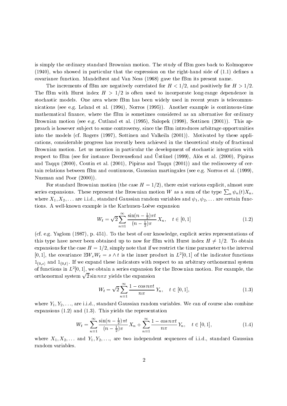is simply the ordinary standard Brownian motion. The study of fBm goes back to Kolmogorov  $(1940)$ , who showed in particular that the expression on the right-hand side of  $(1.1)$  defines a covariance function. Mandelbrot and Van Ness (1968) gave the fBm its present name.

The increments of fBm are negatively correlated for  $H < 1/2$ , and positively for  $H > 1/2$ . The fBm with Hurst index  $H > 1/2$  is often used to incorporate long-range dependence in stochastic models. One area where fBm has been widely used in recent years is telecommunications (see e.g. Leland et al. (1994), Norros (1995)). Another example is continuous-time mathematical finance, where the fBm is sometimes considered as an alternative for ordinary Brownian motion (see e.g. Cutland et al. (1995), Salopek (1998), Sottinen (2001)). This approach is however subject to some controversy, since the fBm introduces arbitrage opportunities into the models (cf. Rogers (1997), Sottinen and Valkeila (2001)). Motivated by these applications, considerable progress has recently been achieved in the theoretical study of fractional Brownian motion. Let us mention in particular the development of stochastic integration with respect to fBm (see for instance Decreusefond and Üstünel (1999), Alòs et al. (2000), Pipiras and Taggu (2000), Coutin et al. (2001), Pipiras and Taggu (2001)) and the rediscovery of certain relations between fBm and continuous, Gaussian martingales (see e.g. Norros et al. (1999), Nuzman and Poor  $(2000)$ ).

For standard Brownian motion (the case  $H = 1/2$ ), there exist various explicit, almost sure series expansions. These represent the Brownian motion W as a sum of the type  $\sum_{n} \psi_n(t) X_n$ , where  $X_1, X_2, \ldots$  are i.i.d., standard Gaussian random variables and  $\psi_1, \psi_2, \ldots$  are certain functions. A well-known example is the Karhunen-Loève expansion

$$
W_t = \sqrt{2} \sum_{n=1}^{\infty} \frac{\sin(n - \frac{1}{2})\pi t}{(n - \frac{1}{2})\pi} X_n, \quad t \in [0, 1]
$$
\n(1.2)

(cf. e.g. Yaglom (1987), p. 451). To the best of our knowledge, explicit series representations of this type have never been obtained up to now for fBm with Hurst index  $H \neq 1/2$ . To obtain expansions for the case  $H = 1/2$ , simply note that if we restrict the time parameter to the interval [0, 1], the covariance  $\mathbb{E}[W_s W_t = s \wedge t]$  is the inner product in  $L^2[0, 1]$  of the indicator functions  $1_{(0,s)}$  and  $1_{(0,t)}$ . If we expand these indicators with respect to an arbitrary orthonormal system of functions in  $L^2[0,1]$ , we obtain a series expansion for the Brownian motion. For example, the orthonormal system  $\sqrt{2} \sin n\pi x$  yields the expansion

$$
W_t = \sqrt{2} \sum_{n=1}^{\infty} \frac{1 - \cos n\pi t}{n\pi} Y_n, \quad t \in [0, 1],
$$
\n(1.3)

where  $Y_1, Y_2, \ldots$ , are i.i.d., standard Gaussian random variables. We can of course also combine expansions  $(1.2)$  and  $(1.3)$ . This yields the representation

$$
W_t = \sum_{n=1}^{\infty} \frac{\sin(n - \frac{1}{2})\pi t}{(n - \frac{1}{2})\pi} X_n + \sum_{n=1}^{\infty} \frac{1 - \cos n\pi t}{n\pi} Y_n, \quad t \in [0, 1],
$$
 (1.4)

where  $X_1, X_2, \ldots$  and  $Y_1, Y_2, \ldots$ , are two independent sequences of i.i.d., standard Gaussian random variables.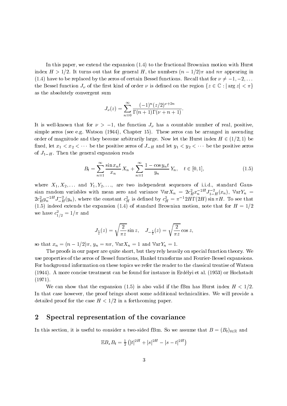In this paper, we extend the expansion (1.4) to the fractional Brownian motion with Hurst index  $H > 1/2$ . It turns out that for general H, the numbers  $(n - 1/2)\pi$  and  $n\pi$  appearing in (1.4) have to be replaced by the zeros of certain Bessel functions. Recall that for  $\nu \neq -1, -2, \ldots$ the Bessel function  $J_{\nu}$  of the first kind of order  $\nu$  is defined on the region  $\{z \in \mathbb{C} : |\arg z| < \pi\}$ as the absolutely convergent sum

$$
J_{\nu}(z) = \sum_{n=0}^{\infty} \frac{(-1)^n (z/2)^{\nu+2n}}{\Gamma(n+1)\Gamma(\nu+n+1)}.
$$

It is well-known that for  $\nu > -1$ , the function  $J_{\nu}$  has a countable number of real, positive, simple zeros (see e.g. Watson (1944), Chapter 15). These zeros can be arranged in ascending order of magnitude and they become arbitrarily large. Now let the Hurst index  $H \in (1/2, 1)$  be fixed, let  $x_1 < x_2 < \cdots$  be the positive zeros of  $J_{-H}$  and let  $y_1 < y_2 < \cdots$  be the positive zeros of  $J_{1-H}$ . Then the general expansion reads

$$
B_t = \sum_{n=1}^{\infty} \frac{\sin x_n t}{x_n} X_n + \sum_{n=1}^{\infty} \frac{1 - \cos y_n t}{y_n} Y_n, \quad t \in [0, 1],
$$
 (1.5)

where  $X_1, X_2, \ldots$  and  $Y_1, Y_2, \ldots$  are two independent sequences of i.i.d., standard Gaussian random variables with mean zero and variance  $\mathbb{V}\text{ar} X_n = 2c_H^2 x_n^{-2H} J_{1-H}^{-2}(x_n)$ ,  $\mathbb{V}\text{ar} Y_n =$  $2c_H^2 y_n^{-2H} J_{-H}^{-2}(y_n)$ , where the constant  $c_H^2$  is defined by  $c_H^2 = \pi^{-1} 2H\Gamma(2H) \sin \pi H$ . To see that (1.5) indeed extends the expansion (1.4) of standard Brownian motion, note that for  $H = 1/2$ we have  $c_{1/2}^2 = 1/\pi$  and

$$
J_{\frac{1}{2}}(z) = \sqrt{\frac{2}{\pi z}} \sin z
$$
,  $J_{-\frac{1}{2}}(z) = \sqrt{\frac{2}{\pi z}} \cos z$ ,

so that  $x_n = (n - 1/2)\pi$ ,  $y_n = n\pi$ ,  $\forall$ ar $X_n = 1$  and  $\forall$ ar $Y_n = 1$ .

The proofs in our paper are quite short, but they rely heavily on special function theory. We use properties of the zeros of Bessel functions, Hankel transforms and Fourier-Bessel expansions. For background information on these topics we refer the reader to the classical treatise of Watson (1944). A more concise treatment can be found for instance in Erdélyi et al. (1953) or Hochstadt  $(1971).$ 

We can show that the expansion (1.5) is also valid if the fBm has Hurst index  $H < 1/2$ . In that case however, the proof brings about some additional technicalities. We will provide a detailed proof for the case  $H < 1/2$  in a forthcoming paper.

#### $\overline{2}$ Spectral representation of the covariance

In this section, it is useful to consider a two-sided fBm. So we assume that  $B = (B_t)_{t \in \mathbb{R}}$  and

$$
\mathbb{E}B_s B_t = \frac{1}{2} \left( |t|^{2H} + |s|^{2H} - |s - t|^{2H} \right)
$$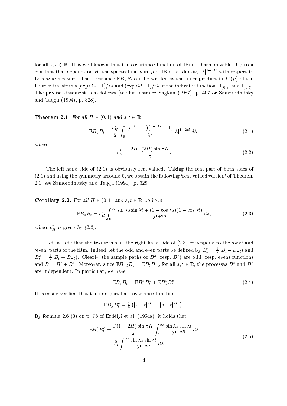for all  $s, t \in \mathbb{R}$ . It is well-known that the covariance function of fBm is harmonizable. Up to a constant that depends on H, the spectral measure  $\mu$  of fBm has density  $|\lambda|^{1-2H}$  with respect to Lebesgue measure. The covariance  $\mathbb{E}B_sB_t$  can be written as the inner product in  $L^2(\mu)$  of the Fourier transforms  $(\exp i\lambda s - 1)/i\lambda$  and  $(\exp i\lambda t - 1)/i\lambda$  of the indicator functions  $1_{(0,s)}$  and  $1_{(0,t)}$ . The precise statement is as follows (see for instance Yaglom (1987), p. 407 or Samorodnitsky and Taqqu (1994), p. 328).

**Theorem 2.1.** For all  $H \in (0, 1)$  and  $s, t \in \mathbb{R}$ 

$$
\mathbb{E}B_s B_t = \frac{c_H^2}{2} \int_{\mathbb{R}} \frac{(e^{i\lambda t} - 1)(e^{-i\lambda s} - 1)}{\lambda^2} |\lambda|^{1-2H} d\lambda,
$$
\n(2.1)

where

$$
c_H^2 = \frac{2H\Gamma(2H)\sin\pi H}{\pi}.
$$
\n(2.2)

The left-hand side of (2.1) is obviously real-valued. Taking the real part of both sides of  $(2.1)$  and using the symmetry arround 0, we obtain the following 'real-valued version' of Theorem 2.1, see Samorodnitsky and Taqqu (1994), p. 329.

**Corollary 2.2.** For all  $H \in (0, 1)$  and  $s, t \in \mathbb{R}$  we have

$$
\mathbb{E}B_s B_t = c_H^2 \int_0^\infty \frac{\sin \lambda s \sin \lambda t + (1 - \cos \lambda s)(1 - \cos \lambda t)}{\lambda^{1+2H}} d\lambda,
$$
\n(2.3)

where  $c_H^2$  is given by (2.2).

Let us note that the two terms on the right-hand side of  $(2.3)$  correspond to the 'odd' and 'even' parts of the fBm. Indeed, let the odd and even parts be defined by  $B_t^o = \frac{1}{2}(B_t - B_{-t})$  and  $B_t^e = \frac{1}{2}(B_t + B_{-t})$ . Clearly, the sample paths of  $B^o$  (resp.  $B^e$ ) are odd (resp. even) functions and  $B = B^o + B^e$ . Moreover, since  $\mathbb{E}B_{-t}B_s = \mathbb{E}B_tB_{-s}$  for all  $s, t \in \mathbb{R}$ , the processes  $B^o$  and  $B^e$ are independent. In particular, we have

$$
\mathbb{E}B_s B_t = \mathbb{E}B_s^o B_t^o + \mathbb{E}B_s^e B_t^e. \tag{2.4}
$$

It is easily verified that the odd part has covariance function

$$
\mathbb{E}B_s^o B_t^o = \frac{1}{4} (|s+t|^{2H} - |s-t|^{2H})
$$

By formula 2.6 (3) on p. 78 of Erdélyi et al. (1954a), it holds that

$$
\mathbb{E}B_s^o B_t^o = \frac{\Gamma(1+2H)\sin\pi H}{\pi} \int_0^\infty \frac{\sin\lambda s \sin\lambda t}{\lambda^{1+2H}} d\lambda
$$
  
=  $c_H^2 \int_0^\infty \frac{\sin\lambda s \sin\lambda t}{\lambda^{1+2H}} d\lambda.$  (2.5)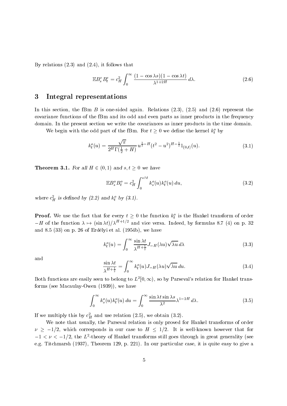By relations  $(2.3)$  and  $(2.4)$ , it follows that

$$
\mathbb{E}B_s^e B_t^e = c_H^2 \int_0^\infty \frac{(1 - \cos \lambda s)(1 - \cos \lambda t)}{\lambda^{1+2H}} d\lambda.
$$
 (2.6)

#### $\boldsymbol{3}$ Integral representations

In this section, the fBm  $B$  is one-sided again. Relations  $(2.3)$ ,  $(2.5)$  and  $(2.6)$  represent the covariance functions of the fBm and its odd and even parts as inner products in the frequency domain. In the present section we write the covariances as inner products in the time domain.

We begin with the odd part of the fBm. For  $t \geq 0$  we define the kernel  $k_t^o$  by

$$
k_t^o(u) = \frac{\sqrt{\pi}}{2^H \Gamma(\frac{1}{2} + H)} u^{\frac{1}{2} - H} (t^2 - u^2)^{H - \frac{1}{2}} 1_{(0,t)}(u).
$$
 (3.1)

**Theorem 3.1.** For all  $H \in (0,1)$  and  $s,t \geq 0$  we have

$$
\mathbb{E}B_s^o B_t^o = c_H^2 \int_0^{s \wedge t} k_s^o(u) k_t^o(u) du,
$$
\n(3.2)

where  $c_H^2$  is defined by (2.2) and  $k_t^o$  by (3.1).

**Proof.** We use the fact that for every  $t \geq 0$  the function  $k_t^o$  is the Hankel transform of order  $-H$  of the function  $\lambda \mapsto (\sin \lambda t)/\lambda^{H+1/2}$  and vice versa. Indeed, by formulas 8.7 (4) on p. 32 and 8.5 (33) on p. 26 of Erdélyi et al. (1954b), we have

$$
k_t^o(u) = \int_0^\infty \frac{\sin \lambda t}{\lambda^{H + \frac{1}{2}}} J_{-H}(\lambda u) \sqrt{\lambda u} \, d\lambda \tag{3.3}
$$

and

$$
\frac{\sin \lambda t}{\lambda^{H + \frac{1}{2}}} = \int_0^\infty k_t^o(u) J_{-H}(\lambda u) \sqrt{\lambda u} \, du. \tag{3.4}
$$

Both functions are easily seen to belong to  $L^2[0,\infty)$ , so by Parseval's relation for Hankel transforms (see Macaulay-Owen  $(1939)$ ), we have

$$
\int_0^\infty k_s^o(u)k_t^o(u) du = \int_0^\infty \frac{\sin \lambda t \sin \lambda s}{\lambda^2} \lambda^{1-2H} d\lambda.
$$
 (3.5)

If we multiply this by  $c_H^2$  and use relation (2.5), we obtain (3.2).

We note that usually, the Parseval relation is only proved for Hankel transforms of order  $\nu > -1/2$ , which corresponds in our case to  $H \le 1/2$ . It is well-known however that for  $-1 < \nu < -1/2$ , the L<sup>2</sup>-theory of Hankel transforms still goes through in great generality (see e.g. Titchmarsh (1937), Theorem 129, p. 221). In our particular case, it is quite easy to give a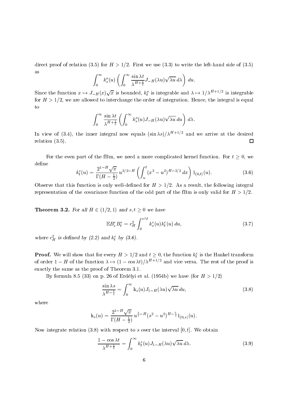direct proof of relation (3.5) for  $H > 1/2$ . First we use (3.3) to write the left-hand side of (3.5) as

$$
\int_0^\infty k_s^o(u) \left( \int_0^\infty \frac{\sin \lambda t}{\lambda^{H + \frac{1}{2}}} J_{-H}(\lambda u) \sqrt{\lambda u} \, d\lambda \right) \, du.
$$

Since the function  $x \mapsto J_{-H}(x)\sqrt{x}$  is bounded,  $k_t^o$  is integrable and  $\lambda \mapsto 1/\lambda^{H+1/2}$  is integrable for  $H > 1/2$ , we are allowed to interchange the order of integration. Hence, the integral is equal to

$$
\int_0^\infty \frac{\sin \lambda t}{\lambda^{H+\frac{1}{2}}} \left( \int_0^\infty k_s^o(u) J_{-H}(\lambda u) \sqrt{\lambda u} \, du \right) d\lambda.
$$

In view of (3.4), the inner integral now equals  $(\sin \lambda s)/\lambda^{H+1/2}$  and we arrive at the desired relation  $(3.5)$ .  $\Box$ 

For the even part of the fBm, we need a more complicated kernel function. For  $t \geq 0$ , we define

$$
k_t^e(u) = \frac{2^{1-H}\sqrt{\pi}}{\Gamma(H - \frac{1}{2})} u^{3/2-H} \left( \int_u^t (x^2 - u^2)^{H-3/2} dx \right) 1_{(0,t)}(u). \tag{3.6}
$$

Observe that this function is only well-defined for  $H > 1/2$ . As a result, the following integral representation of the covariance function of the odd part of the fBm is only valid for  $H > 1/2$ .

**Theorem 3.2.** For all  $H \in (1/2, 1)$  and  $s, t \geq 0$  we have

$$
\mathbb{E}B_s^e B_t^e = c_H^2 \int_0^{s \wedge t} k_s^e(u) k_t^e(u) du,
$$
\n(3.7)

where  $c_H^2$  is defined by (2.2) and  $k_t^e$  by (3.6).

**Proof.** We will show that for every  $H > 1/2$  and  $t \geq 0$ , the function  $k_t^e$  is the Hankel transform of order  $1-H$  of the function  $\lambda \mapsto (1-\cos \lambda t)/\lambda^{H+1/2}$  and vice versa. The rest of the proof is exactly the same as the proof of Theorem 3.1.

By formula 8.5 (33) on p. 26 of Erdélyi et al. (1954b) we have (for  $H > 1/2$ )

$$
\frac{\sin \lambda s}{\lambda^{H - \frac{1}{2}}} = \int_0^\infty k_s(u) J_{1-H}(\lambda u) \sqrt{\lambda u} \, du,\tag{3.8}
$$

where

$$
k_s(u) = \frac{2^{1-H}\sqrt{\pi}}{\Gamma(H-\frac{1}{2})} u^{\frac{3}{2}-H} (s^2 - u^2)^{H-\frac{3}{2}} 1_{(0,s)}(u).
$$

Now integrate relation (3.8) with respect to s over the interval [0, t]. We obtain

$$
\frac{1-\cos \lambda t}{\lambda^{H+\frac{1}{2}}} = \int_0^\infty k_t^e(u) J_{1-H}(\lambda u) \sqrt{\lambda u} d\lambda.
$$
 (3.9)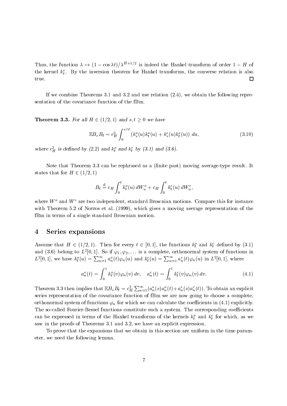Thus, the function  $\lambda \mapsto (1 - \cos \lambda t)/\lambda^{H+1/2}$  is indeed the Hankel transform of order  $1 - H$  of the kernel  $k_t^e$ . By the inversion theorem for Hankel transforms, the converse relation is also  $\Box$ true.

If we combine Theorems 3.1 and 3.2 and use relation  $(2.4)$ , we obtain the following representation of the covariance function of the fBm.

**Theorem 3.3.** For all  $H \in (1/2, 1)$  and  $s, t \geq 0$  we have

$$
\mathbb{E}B_s B_t = c_H^2 \int_0^{s \wedge t} (k_s^o(u)k_t^o(u) + k_s^e(u)k_t^e(u)) du,
$$
\n(3.10)

where  $c_H^2$  is defined by (2.2) and  $k_t^o$  and  $k_t^e$  by (3.1) and (3.6).

Note that Theorem 3.3 can be rephrased as a (finite past) moving average-type result. It states that for  $H \in (1/2, 1)$ 

$$
B_t \stackrel{\text{d}}{=} c_H \int_0^t k_t^o(u) \, dW_u^o + c_H \int_0^t k_t^e(u) \, dW_u^e,
$$

where  $W^o$  and  $W^e$  are two independent, standard Brownian motions. Compare this for instance with Theorem 5.2 of Norros et al. (1999), which gives a moving average representation of the fBm in terms of a single standard Brownian motion.

#### Series expansions  $\overline{\mathbf{4}}$

Assume that  $H \in (1/2, 1)$ . Then for every  $t \in [0, 1]$ , the functions  $k_t^o$  and  $k_t^e$  defined by (3.1) and (3.6) belong to  $L^2[0,1]$ . So if  $\varphi_1, \varphi_2, \ldots$  is a complete, orthonormal system of functions in  $L^2[0,1],$  we have  $k_t^o(u) = \sum_{n=1}^{\infty} a_n^o(t) \varphi_n(u)$  and  $k_t^e(u) = \sum_{n=1}^{\infty} a_n^e(t) \varphi_n(u)$  in  $L^2[0,1],$  where

$$
a_n^o(t) = \int_0^1 k_t^o(v)\varphi_n(v) dv, \quad a_n^e(t) = \int_0^1 k_t^e(v)\varphi_n(v) dv.
$$
 (4.1)

Theorem 3.3 then implies that  $\mathbb{E}B_sB_t = c_H^2\sum_{n=1}^{\infty} (a_n^o(s)a_n^o(t) + a_n^e(s)a_n^e(t))$ . To obtain an explicit series representation of the covariance function of fBm we are now going to choose a complete. orthonormal system of functions  $\varphi_n$  for which we can calculate the coefficients in (4.1) explicitly. The so-called Fourier-Bessel functions constitute such a system. The corresponding coefficients can be expressed in terms of the Hankel transforms of the kernels  $k_t^o$  and  $k_t^e$  for which, as we saw in the proofs of Theorems 3.1 and 3.2, we have an explicit expression.

To prove that the expansions that we obtain in this section are uniform in the time parameter, we need the following lemma.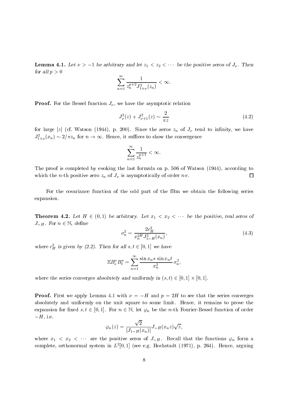**Lemma 4.1.** Let  $\nu > -1$  be arbitrary and let  $z_1 < z_2 < \cdots$  be the positive zeros of  $J_{\nu}$ . Then for all  $p > 0$ 

$$
\sum_{n=1}^{\infty} \frac{1}{z_n^{p+2} J_{1+\nu}^2(z_n)} < \infty
$$

**Proof.** For the Bessel function  $J_{\nu}$ , we have the asymptotic relation

$$
J_{\nu}^{2}(z) + J_{\nu+1}^{2}(z) \sim \frac{2}{\pi z} \tag{4.2}
$$

for large |z| (cf. Watson (1944), p. 200). Since the zeros  $z_n$  of  $J_{\nu}$  tend to infinity, we have  $J_{1+\nu}^2(x_n) \sim 2/\pi z_n$  for  $n \to \infty$ . Hence, it suffices to show the convergence

$$
\sum_{n=1}^{\infty} \frac{1}{z_n^{p+1}} < \infty.
$$

The proof is completed by evoking the last formula on p. 506 of Watson (1944), according to which the *n*-th positive zero  $z_n$  of  $J_{\nu}$  is asymptotically of order  $n\pi$ .  $\Box$ 

For the covariance function of the odd part of the fBm we obtain the following series expansion.

**Theorem 4.2.** Let  $H \in (0,1)$  be arbitrary. Let  $x_1 < x_2 < \cdots$  be the positive, real zeros of  $J_{-H}$ . For  $n \in \mathbb{N}$ , define

$$
\sigma_n^2 = \frac{2c_H^2}{x_n^{2H} J_{1-H}^2(x_n)},\tag{4.3}
$$

where  $c_H^2$  is given by (2.2). Then for all  $s, t \in [0, 1]$  we have

$$
\mathbb{E}B_s^o B_t^o = \sum_{n=1}^{\infty} \frac{\sin x_n s \sin x_n t}{x_n^2} \sigma_n^2,
$$

where the series converges absolutely and uniformly in  $(s, t) \in [0, 1] \times [0, 1]$ .

**Proof.** First we apply Lemma 4.1 with  $\nu = -H$  and  $p = 2H$  to see that the series converges absolutely and uniformly on the unit square to some limit. Hence, it remains to prove the expansion for fixed  $s, t \in [0, 1]$ . For  $n \in \mathbb{N}$ , let  $\varphi_n$  be the *n*-th Fourier-Bessel function of order  $-H$ , i.e.

$$
\varphi_n(z) = \frac{\sqrt{2}}{|J_{1-H}(x_n)|} J_{-H}(x_n z) \sqrt{z},
$$

where  $x_1 \lt x_2 \lt \cdots$  are the positive zeros of  $J_{-H}$ . Recall that the functions  $\varphi_n$  form a complete, orthonormal system in  $L^2[0,1]$  (see e.g. Hochstadt (1971), p. 264). Hence, arguing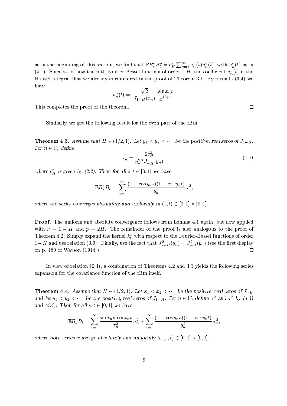as in the beginning of this section, we find that  $\mathbb{E}B_s^oB_t^o=c_H^2\sum_{n=1}^{\infty}a_n^o(s)a_n^o(t)$ , with  $a_n^o(t)$  as in (4.1). Since  $\varphi_n$  is now the *n*-th Fourier-Bessel function of order  $-H$ , the coefficient  $a_n^o(t)$  is the Hankel integral that we already encountered in the proof of Theorem 3.1. By formula (3.4) we have

$$
a_n^o(t) = \frac{\sqrt{2}}{|J_{1-H}(x_n)|} \frac{\sin x_n t}{x_n^{H+1}}.
$$

This completes the proof of the theorem.

Similarly, we get the following result for the even part of the fBm.

**Theorem 4.3.** Assume that  $H \in (1/2, 1)$ . Let  $y_1 < y_2 < \cdots$  be the positive, real zeros of  $J_{1-H}$ . For  $n \in \mathbb{N}$ , define

$$
\tau_n^2 = \frac{2c_H^2}{y_n^{2H} J_{-H}^2(y_n)},\tag{4.4}
$$

where  $c_H^2$  is given by (2.2). Then for all  $s, t \in [0, 1]$  we have

$$
\mathbb{E} B_s^e B_t^e = \sum_{n=1}^{\infty} \frac{(1 - \cos y_n s)(1 - \cos y_n t)}{y_n^2} \tau_n^2,
$$

where the series converges absolutely and uniformly in  $(s, t) \in [0, 1] \times [0, 1]$ .

**Proof.** The uniform and absolute convergence follows from Lemma 4.1 again, but now applied with  $\nu = 1 - H$  and  $p = 2H$ . The remainder of the proof is also analogous to the proof of Theorem 4.2. Simply expand the kernel  $k_t^e$  with respect to the Fourier-Bessel functions of order  $1-H$  and use relation (3.9). Finally, use the fact that  $J_{2-H}^2(y_n) = J_{-H}^2(y_n)$  (see the first display on p. 480 of Watson (1944)).  $\Box$ 

In view of relation  $(2.4)$ , a combination of Theorems 4.2 and 4.3 yields the following series expansion for the covariance function of the fBm itself.

**Theorem 4.4.** Assume that  $H \in (1/2, 1)$ . Let  $x_1 < x_2 < \cdots$  be the positive, real zeros of  $J_{-H}$ and let  $y_1 < y_2 < \cdots$  be the positive, real zeros of  $J_{1-H}$ . For  $n \in \mathbb{N}$ , define  $\sigma_n^2$  and  $\tau_n^2$  by (4.3) and (4.4). Then for all  $s, t \in [0, 1]$  we have

$$
\mathbb{E}B_s B_t = \sum_{n=1}^{\infty} \frac{\sin x_n s \sin x_n t}{x_n^2} \sigma_n^2 + \sum_{n=1}^{\infty} \frac{(1 - \cos y_n s)(1 - \cos y_n t)}{y_n^2} \tau_n^2,
$$

where both series converge absolutely and uniformly in  $(s, t) \in [0, 1] \times [0, 1]$ .

 $\Box$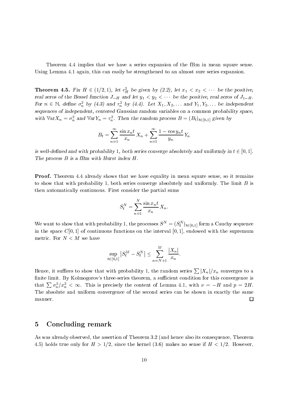Theorem 4.4 implies that we have a series expansion of the fBm in mean square sense. Using Lemma 4.1 again, this can easily be strengthened to an almost sure series expansion.

**Theorem 4.5.** Fix  $H \in (1/2, 1)$ , let  $c_H^2$  be given by (2.2), let  $x_1 < x_2 < \cdots$  be the positive, real zeros of the Bessel function  $J_{-H}$  and let  $y_1 < y_2 < \cdots$  be the positive, real zeros of  $J_{1-H}$ . For  $n \in \mathbb{N}$ , define  $\sigma_n^2$  by (4.3) and  $\tau_n^2$  by (4.4). Let  $X_1, X_2, \ldots$  and  $Y_1, Y_2, \ldots$  be independent sequences of independent, centered Gaussian random variables on a common probability space with  $\mathbb{V}\text{ar} X_n = \sigma_n^2$  and  $\mathbb{V}\text{ar} Y_n = \tau_n^2$ . Then the random process  $B = (B_t)_{t \in [0,1]}$  given by

$$
B_t = \sum_{n=1}^{\infty} \frac{\sin x_n t}{x_n} X_n + \sum_{n=1}^{\infty} \frac{1 - \cos y_n t}{y_n} Y_n
$$

is well-defined and with probability 1, both series converge absolutely and uniformly in  $t \in [0, 1]$ . The process  $B$  is a fBm with Hurst index  $H$ .

**Proof.** Theorem 4.4 already shows that we have equality in mean square sense, so it remains to show that with probability 1, both series converge absolutely and uniformly. The limit  $B$  is then automatically continuous. First consider the partial sums

$$
S_t^N = \sum_{n=1}^N \frac{\sin x_n t}{x_n} X_n.
$$

We want to show that with probability 1, the processes  $S^N = (S_t^N)_{t \in [0,1]}$  form a Cauchy sequence in the space  $C[0, 1]$  of continuous functions on the interval [0, 1], endowed with the supremum metric. For  $N < M$  we have

$$
\sup_{t\in[0,1]}\left|S^M_t-S^N_t\right|\leq \sum_{n=N+1}^M\frac{|X_n|}{x_n}.
$$

Hence, it suffices to show that with probability 1, the random series  $\sum |X_n|/x_n$  converges to a finite limit. By Kolmogorov's three-series theorem, a sufficient condition for this convergence is that  $\sum \sigma_n^2/x_n^2 < \infty$ . This is precisely the content of Lemma 4.1, with  $\nu = -H$  and  $p = 2H$ . The absolute and uniform convergence of the second series can be shown in exactly the same manner.  $\Box$ 

#### Concluding remark  $\bf{5}$

As was already observed, the assertion of Theorem 3.2 (and hence also its consequence, Theorem 4.5) holds true only for  $H > 1/2$ , since the kernel (3.6) makes no sense if  $H < 1/2$ . However,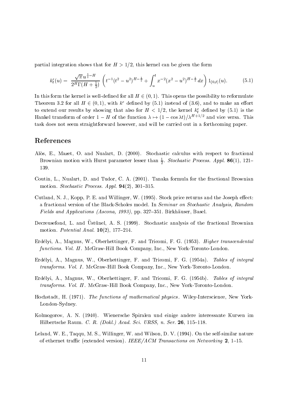partial integration shows that for  $H > 1/2$ , this kernel can be given the form

$$
k_t^e(u) = \frac{\sqrt{\pi} u^{\frac{3}{2}-H}}{2^H \Gamma(H+\frac{1}{2})} \left( t^{-1} (t^2 - u^2)^{H-\frac{1}{2}} + \int_u^t x^{-2} (x^2 - u^2)^{H-\frac{1}{2}} dx \right) 1_{(0,t)}(u). \tag{5.1}
$$

In this form the kernel is well-defined for all  $H \in (0, 1)$ . This opens the possibility to reformulate Theorem 3.2 for all  $H \in (0, 1)$ , with  $k^e$  defined by (5.1) instead of (3.6), and to make an effort to extend our results by showing that also for  $H < 1/2$ , the kernel  $k_t^e$  defined by (5.1) is the Hankel transform of order  $1-H$  of the function  $\lambda \mapsto (1-\cos \lambda t)/\lambda^{H+1/2}$  and vice versa. This task does not seem straightforward however, and will be carried out in a forthcoming paper.

### References

- Alòs, E., Mazet, O. and Nualart, D. (2000). Stochastic calculus with respect to fractional Brownian motion with Hurst parameter lesser than  $\frac{1}{2}$ . Stochastic Process. Appl. 86(1), 121– 139.
- Coutin, L., Nualart, D. and Tudor, C. A. (2001). Tanaka formula for the fractional Brownian motion. Stochastic Process. Appl.  $94(2)$ , 301-315.
- Cutland, N. J., Kopp, P. E. and Willinger, W. (1995). Stock price returns and the Joseph effect: a fractional version of the Black-Scholes model. In Seminar on Stochastic Analysis, Random Fields and Applications (Ascona, 1993), pp. 327-351. Birkhäuser, Basel.
- Decreusefond, L. and Üstünel, A. S. (1999). Stochastic analysis of the fractional Brownian motion. Potential Anal.  $10(2)$ , 177-214.
- Erdélyi, A., Magnus, W., Oberhettinger, F. and Tricomi, F. G. (1953). *Higher transcendental* functions. Vol. II. McGraw-Hill Book Company, Inc., New York-Toronto-London.
- Erdélyi, A., Magnus, W., Oberhettinger, F. and Tricomi, F. G. (1954a). Tables of integral transforms. Vol. I. McGraw-Hill Book Company, Inc., New York-Toronto-London.
- Erdélyi, A., Magnus, W., Oberhettinger, F. and Tricomi, F. G. (1954b). Tables of integral transforms. Vol. II. McGraw-Hill Book Company, Inc., New York-Toronto-London.
- Hochstadt, H. (1971). The functions of mathematical physics. Wiley-Interscience, New York-London-Sydney.
- Kolmogorov, A. N. (1940). Wienersche Spiralen und einige andere interessante Kurven im Hilbertsche Raum. C. R. (Dokl.) Acad. Sci. URSS, n. Ser. 26, 115-118.
- Leland, W. E., Tagqu, M. S., Willinger, W. and Wilson, D. V. (1994). On the self-similar nature of ethernet traffic (extended version). IEEE/ACM Transactions on Networking 2, 1–15.